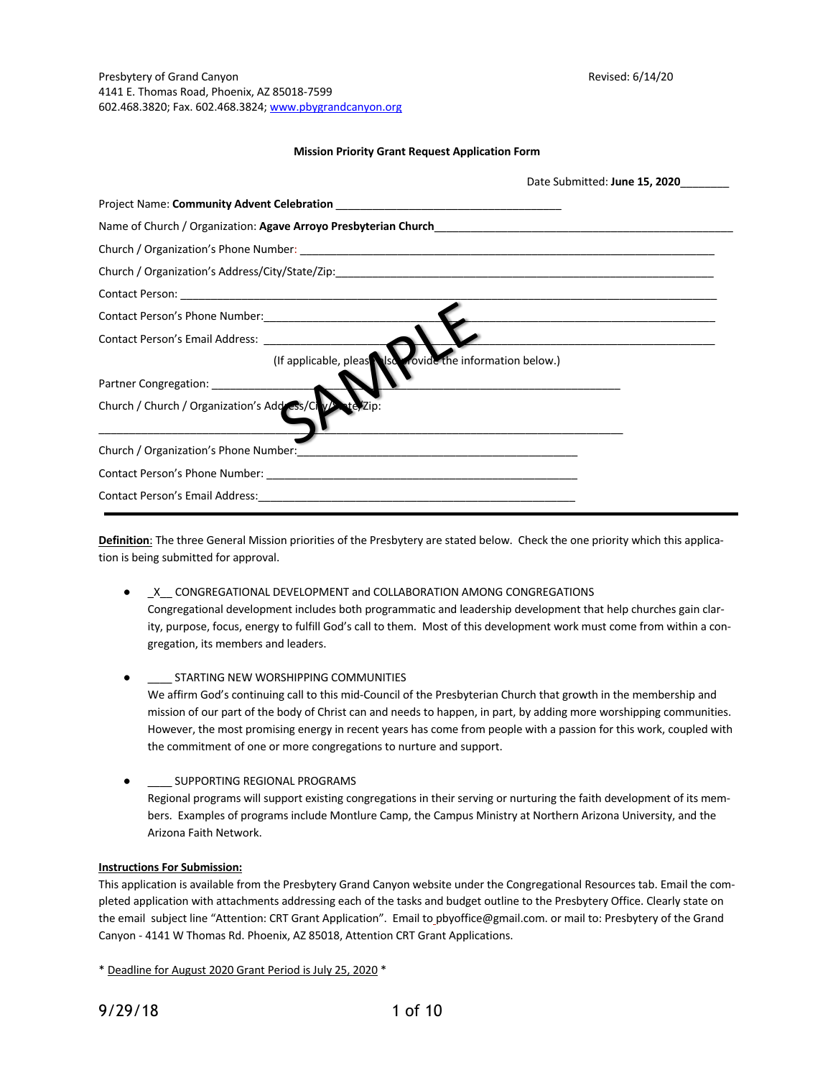#### **Mission Priority Grant Request Application Form**

| Date Submitted: June 15, 2020                             |
|-----------------------------------------------------------|
|                                                           |
|                                                           |
|                                                           |
|                                                           |
|                                                           |
|                                                           |
|                                                           |
| (If applicable, pleas signals and the information below.) |
| Partner Congregation: __________________                  |
| Church / Church / Organization's Add ess/Civ/ ate/Zip:    |
|                                                           |
|                                                           |
|                                                           |

**Definition**: The three General Mission priorities of the Presbytery are stated below. Check the one priority which this application is being submitted for approval.

- \_X\_\_ CONGREGATIONAL DEVELOPMENT and COLLABORATION AMONG CONGREGATIONS Congregational development includes both programmatic and leadership development that help churches gain clarity, purpose, focus, energy to fulfill God's call to them. Most of this development work must come from within a congregation, its members and leaders.
- STARTING NEW WORSHIPPING COMMUNITIES We affirm God's continuing call to this mid-Council of the Presbyterian Church that growth in the membership and mission of our part of the body of Christ can and needs to happen, in part, by adding more worshipping communities. However, the most promising energy in recent years has come from people with a passion for this work, coupled with the commitment of one or more congregations to nurture and support.
- **.** SUPPORTING REGIONAL PROGRAMS Regional programs will support existing congregations in their serving or nurturing the faith development of its members. Examples of programs include Montlure Camp, the Campus Ministry at Northern Arizona University, and the Arizona Faith Network.

## **Instructions For Submission:**

This application is available from the Presbytery Grand Canyon website under the Congregational Resources tab. Email the completed application with attachments addressing each of the tasks and budget outline to the Presbytery Office. Clearly state on the email subject line "Attention: CRT Grant Application". Email to pbyoffice@gmail.com. or mail to: Presbytery of the Grand Canyon - 4141 W Thomas Rd. Phoenix, AZ 85018, Attention CRT Grant Applications.

\* Deadline for August 2020 Grant Period is July 25, 2020 \*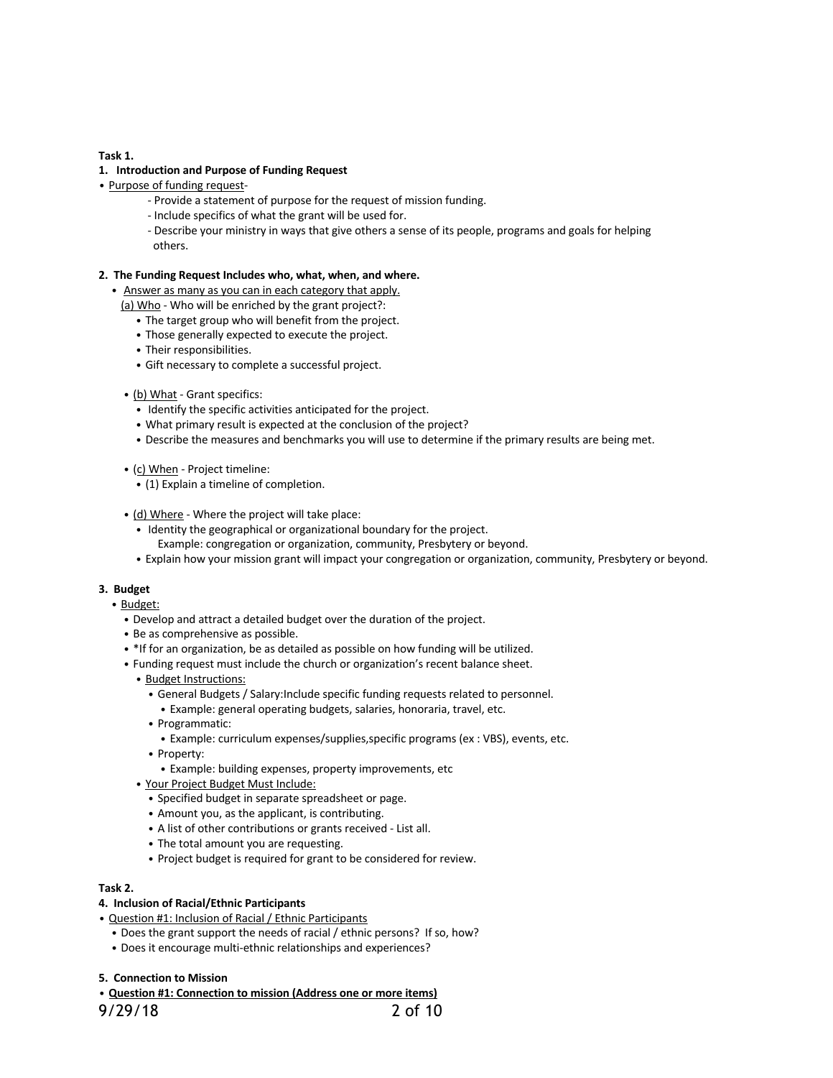**Task 1.**

#### **1. Introduction and Purpose of Funding Request**

- Purpose of funding request-
	- Provide a statement of purpose for the request of mission funding.
	- Include specifics of what the grant will be used for.
	- Describe your ministry in ways that give others a sense of its people, programs and goals for helping others.

#### **2. The Funding Request Includes who, what, when, and where.**

- Answer as many as you can in each category that apply.
- (a) Who Who will be enriched by the grant project?:
	- The target group who will benefit from the project.
	- Those generally expected to execute the project.
	- Their responsibilities.
	- Gift necessary to complete a successful project.
- (b) What Grant specifics:
	- Identify the specific activities anticipated for the project.
	- What primary result is expected at the conclusion of the project?
	- Describe the measures and benchmarks you will use to determine if the primary results are being met.
- (c) When Project timeline:
	- (1) Explain a timeline of completion.
- (d) Where Where the project will take place:
	- Identity the geographical or organizational boundary for the project.
	- Example: congregation or organization, community, Presbytery or beyond.
	- Explain how your mission grant will impact your congregation or organization, community, Presbytery or beyond.

#### **3. Budget**

#### • Budget:

- Develop and attract a detailed budget over the duration of the project.
- Be as comprehensive as possible.
- \*If for an organization, be as detailed as possible on how funding will be utilized.
- Funding request must include the church or organization's recent balance sheet.
	- Budget Instructions:
		- General Budgets / Salary:Include specific funding requests related to personnel.
		- Example: general operating budgets, salaries, honoraria, travel, etc.
		- Programmatic:
		- Example: curriculum expenses/supplies,specific programs (ex : VBS), events, etc.
		- Property:
			- Example: building expenses, property improvements, etc
	- Your Project Budget Must Include:
		- Specified budget in separate spreadsheet or page.
		- Amount you, as the applicant, is contributing.
		- A list of other contributions or grants received List all.
		- The total amount you are requesting.
		- Project budget is required for grant to be considered for review.

#### **Task 2.**

#### **4. Inclusion of Racial/Ethnic Participants**

- Question #1: Inclusion of Racial / Ethnic Participants
	- Does the grant support the needs of racial / ethnic persons? If so, how?
	- Does it encourage multi-ethnic relationships and experiences?

#### **5. Connection to Mission**

• **Question #1: Connection to mission (Address one or more items)**

9/29/18 2 of 10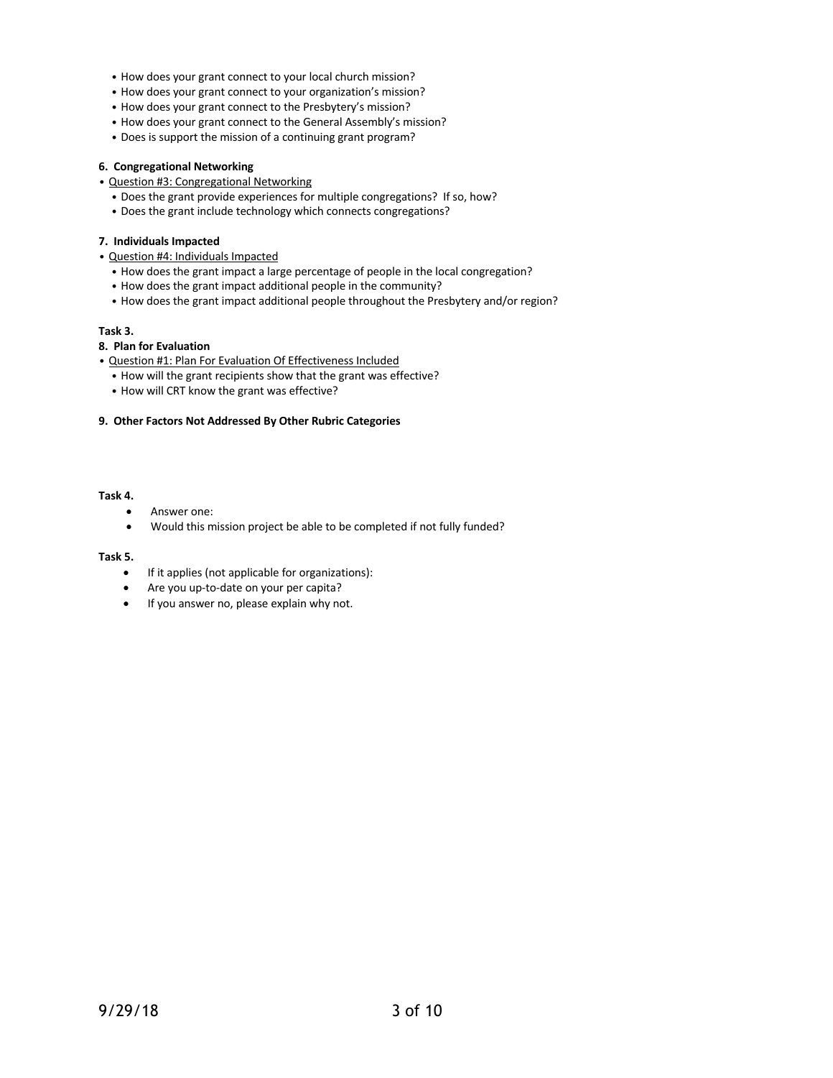- How does your grant connect to your local church mission?
- How does your grant connect to your organization's mission?
- How does your grant connect to the Presbytery's mission?
- How does your grant connect to the General Assembly's mission?
- Does is support the mission of a continuing grant program?

## **6. Congregational Networking**

- Question #3: Congregational Networking
	- Does the grant provide experiences for multiple congregations? If so, how?
	- Does the grant include technology which connects congregations?

## **7. Individuals Impacted**

- Question #4: Individuals Impacted
	- How does the grant impact a large percentage of people in the local congregation?
	- How does the grant impact additional people in the community?
	- How does the grant impact additional people throughout the Presbytery and/or region?

## **Task 3.**

# **8. Plan for Evaluation**

- Question #1: Plan For Evaluation Of Effectiveness Included
	- How will the grant recipients show that the grant was effective?
	- How will CRT know the grant was effective?

## **9. Other Factors Not Addressed By Other Rubric Categories**

# **Task 4.**

- Answer one:
- Would this mission project be able to be completed if not fully funded?

## **Task 5.**

- If it applies (not applicable for organizations):
- Are you up-to-date on your per capita?
- If you answer no, please explain why not.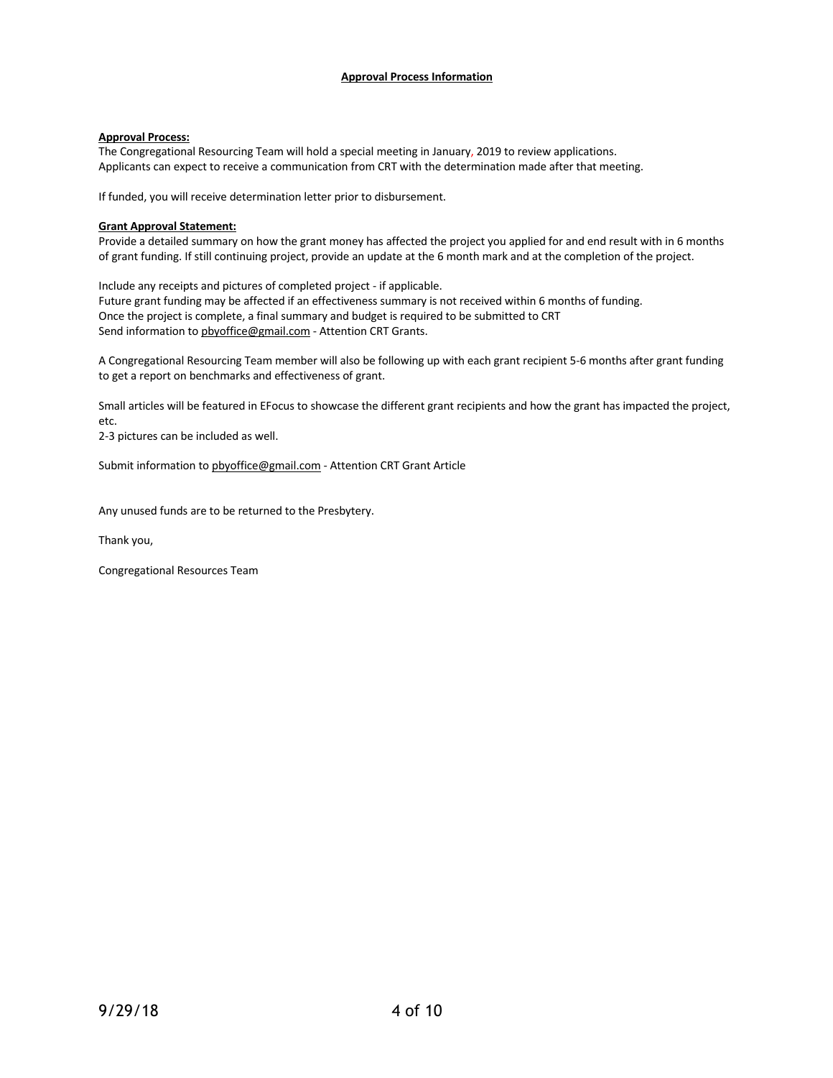## **Approval Process Information**

## **Approval Process:**

The Congregational Resourcing Team will hold a special meeting in January, 2019 to review applications. Applicants can expect to receive a communication from CRT with the determination made after that meeting.

If funded, you will receive determination letter prior to disbursement.

#### **Grant Approval Statement:**

Provide a detailed summary on how the grant money has affected the project you applied for and end result with in 6 months of grant funding. If still continuing project, provide an update at the 6 month mark and at the completion of the project.

Include any receipts and pictures of completed project - if applicable. Future grant funding may be affected if an effectiveness summary is not received within 6 months of funding. Once the project is complete, a final summary and budget is required to be submitted to CRT Send information to pbyoffice@gmail.com - Attention CRT Grants.

A Congregational Resourcing Team member will also be following up with each grant recipient 5-6 months after grant funding to get a report on benchmarks and effectiveness of grant.

Small articles will be featured in EFocus to showcase the different grant recipients and how the grant has impacted the project, etc.

2-3 pictures can be included as well.

Submit information to pbyoffice@gmail.com - Attention CRT Grant Article

Any unused funds are to be returned to the Presbytery.

Thank you,

Congregational Resources Team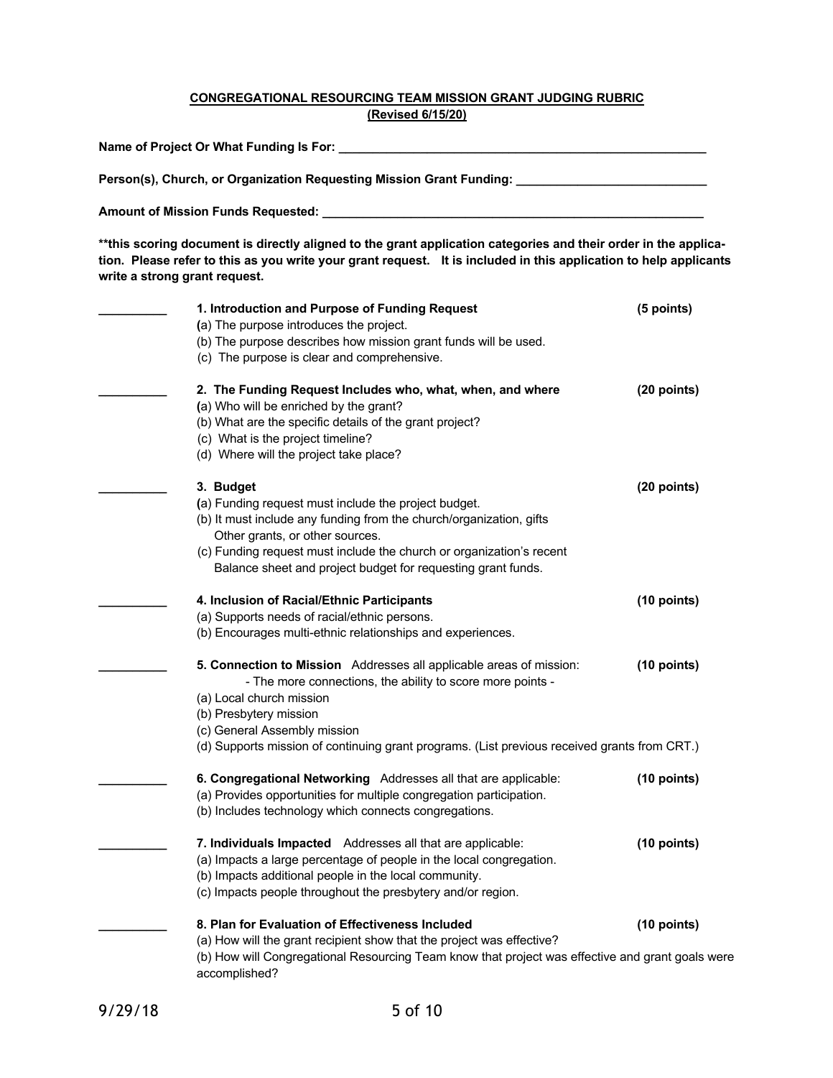# **CONGREGATIONAL RESOURCING TEAM MISSION GRANT JUDGING RUBRIC (Revised 6/15/20)**

**Name of Project Or What Funding Is For: \_\_\_\_\_\_\_\_\_\_\_\_\_\_\_\_\_\_\_\_\_\_\_\_\_\_\_\_\_\_\_\_\_\_\_\_\_\_\_\_\_\_\_\_\_\_\_\_\_\_\_\_\_\_**

**Person(s), Church, or Organization Requesting Mission Grant Funding: \_\_\_\_\_\_\_\_\_\_\_\_\_\_\_\_\_\_\_\_\_\_\_\_\_\_\_\_**

**Amount of Mission Funds Requested: \_\_\_\_\_\_\_\_\_\_\_\_\_\_\_\_\_\_\_\_\_\_\_\_\_\_\_\_\_\_\_\_\_\_\_\_\_\_\_\_\_\_\_\_\_\_\_\_\_\_\_\_\_\_\_\_**

\*\*this scoring document is directly aligned to the grant application categories and their order in the application. Please refer to this as you write your grant request. It is included in this application to help applicants **write a strong grant request.** 

| 1. Introduction and Purpose of Funding Request                                                                    | (5 points)    |
|-------------------------------------------------------------------------------------------------------------------|---------------|
| (a) The purpose introduces the project.                                                                           |               |
| (b) The purpose describes how mission grant funds will be used.                                                   |               |
| (c) The purpose is clear and comprehensive.                                                                       |               |
| 2. The Funding Request Includes who, what, when, and where                                                        | (20 points)   |
| (a) Who will be enriched by the grant?                                                                            |               |
| (b) What are the specific details of the grant project?                                                           |               |
| (c) What is the project timeline?                                                                                 |               |
| (d) Where will the project take place?                                                                            |               |
| 3. Budget                                                                                                         | (20 points)   |
| (a) Funding request must include the project budget.                                                              |               |
| (b) It must include any funding from the church/organization, gifts                                               |               |
| Other grants, or other sources.                                                                                   |               |
| (c) Funding request must include the church or organization's recent                                              |               |
| Balance sheet and project budget for requesting grant funds.                                                      |               |
| 4. Inclusion of Racial/Ethnic Participants                                                                        | (10 points)   |
| (a) Supports needs of racial/ethnic persons.                                                                      |               |
| (b) Encourages multi-ethnic relationships and experiences.                                                        |               |
| 5. Connection to Mission Addresses all applicable areas of mission:                                               | (10 points)   |
| - The more connections, the ability to score more points -                                                        |               |
| (a) Local church mission                                                                                          |               |
| (b) Presbytery mission                                                                                            |               |
| (c) General Assembly mission                                                                                      |               |
| (d) Supports mission of continuing grant programs. (List previous received grants from CRT.)                      |               |
| 6. Congregational Networking Addresses all that are applicable:                                                   | $(10$ points) |
| (a) Provides opportunities for multiple congregation participation.                                               |               |
| (b) Includes technology which connects congregations.                                                             |               |
| 7. Individuals Impacted Addresses all that are applicable:                                                        | $(10$ points) |
| (a) Impacts a large percentage of people in the local congregation.                                               |               |
| (b) Impacts additional people in the local community.                                                             |               |
| (c) Impacts people throughout the presbytery and/or region.                                                       |               |
| 8. Plan for Evaluation of Effectiveness Included                                                                  | $(10$ points) |
| (a) How will the grant recipient show that the project was effective?                                             |               |
| (b) How will Congregational Resourcing Team know that project was effective and grant goals were<br>accomplished? |               |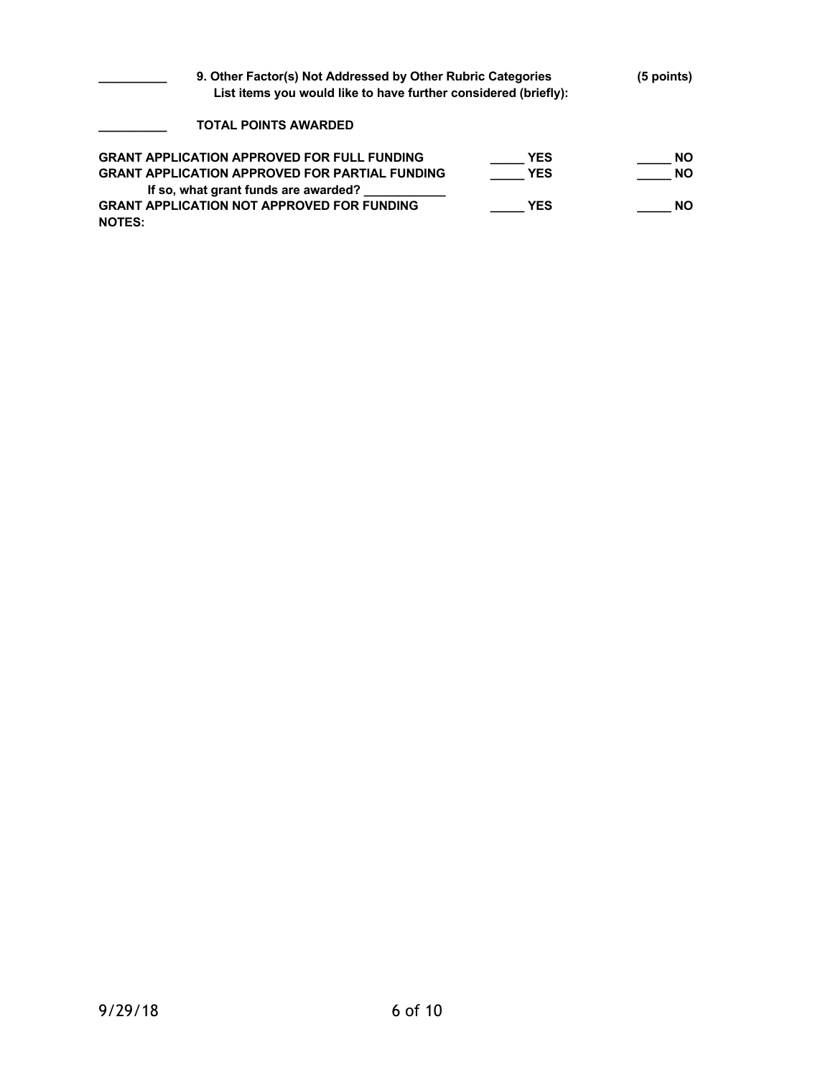| 9. Other Factor(s) Not Addressed by Other Rubric Categories<br>List items you would like to have further considered (briefly): |            | $(5$ points) |
|--------------------------------------------------------------------------------------------------------------------------------|------------|--------------|
| TOTAL POINTS AWARDED                                                                                                           |            |              |
| <b>GRANT APPLICATION APPROVED FOR FULL FUNDING</b>                                                                             | <b>YES</b> | <b>NO</b>    |
| <b>GRANT APPLICATION APPROVED FOR PARTIAL FUNDING</b>                                                                          | <b>YES</b> | <b>NO</b>    |
| If so, what grant funds are awarded?                                                                                           |            |              |
| <b>GRANT APPLICATION NOT APPROVED FOR FUNDING</b>                                                                              | <b>YES</b> | <b>NO</b>    |
| <b>NOTES:</b>                                                                                                                  |            |              |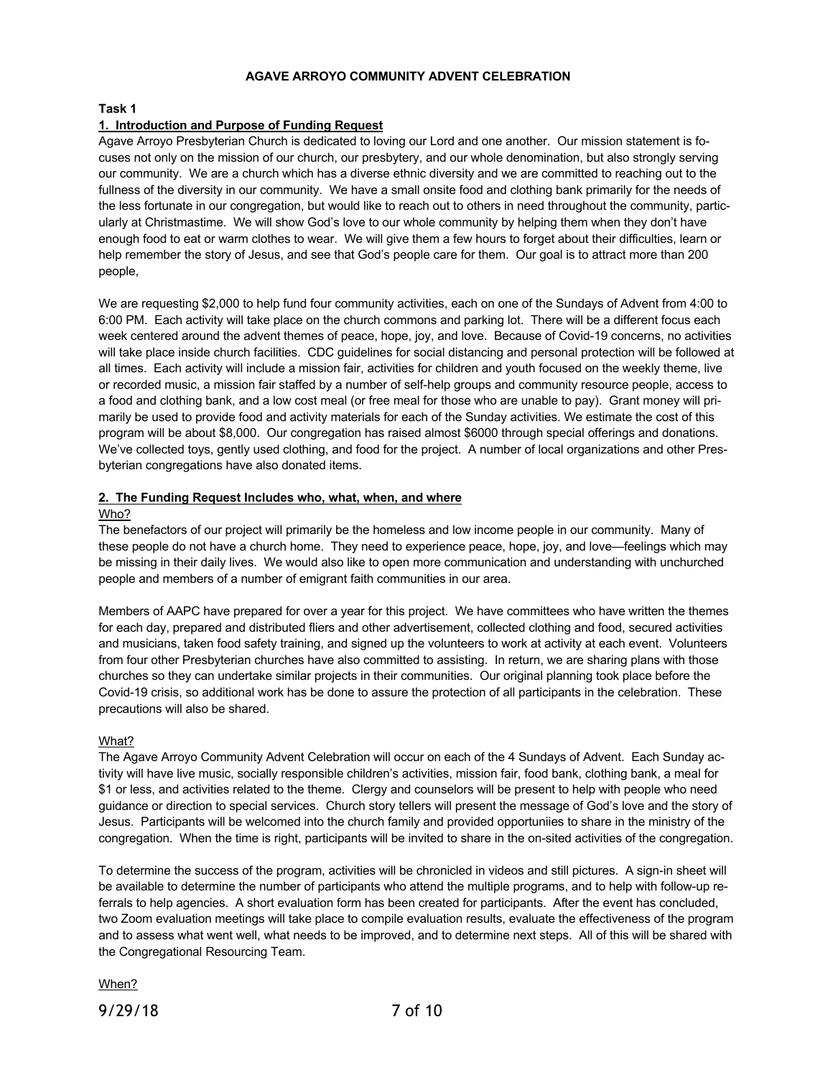## **AGAVE ARROYO COMMUNITY ADVENT CELEBRATION**

**Task 1**

## **1. Introduction and Purpose of Funding Request**

Agave Arroyo Presbyterian Church is dedicated to loving our Lord and one another. Our mission statement is focuses not only on the mission of our church, our presbytery, and our whole denomination, but also strongly serving our community. We are a church which has a diverse ethnic diversity and we are committed to reaching out to the fullness of the diversity in our community. We have a small onsite food and clothing bank primarily for the needs of the less fortunate in our congregation, but would like to reach out to others in need throughout the community, particularly at Christmastime. We will show God's love to our whole community by helping them when they don't have enough food to eat or warm clothes to wear. We will give them a few hours to forget about their difficulties, learn or help remember the story of Jesus, and see that God's people care for them. Our goal is to attract more than 200 people,

We are requesting \$2,000 to help fund four community activities, each on one of the Sundays of Advent from 4:00 to 6:00 PM. Each activity will take place on the church commons and parking lot. There will be a different focus each week centered around the advent themes of peace, hope, joy, and love. Because of Covid-19 concerns, no activities will take place inside church facilities. CDC guidelines for social distancing and personal protection will be followed at all times. Each activity will include a mission fair, activities for children and youth focused on the weekly theme, live or recorded music, a mission fair staffed by a number of self-help groups and community resource people, access to a food and clothing bank, and a low cost meal (or free meal for those who are unable to pay). Grant money will primarily be used to provide food and activity materials for each of the Sunday activities. We estimate the cost of this program will be about \$8,000. Our congregation has raised almost \$6000 through special offerings and donations. We've collected toys, gently used clothing, and food for the project. A number of local organizations and other Presbyterian congregations have also donated items.

## **2. The Funding Request Includes who, what, when, and where**

## Who?

The benefactors of our project will primarily be the homeless and low income people in our community. Many of these people do not have a church home. They need to experience peace, hope, joy, and love—feelings which may be missing in their daily lives. We would also like to open more communication and understanding with unchurched people and members of a number of emigrant faith communities in our area.

Members of AAPC have prepared for over a year for this project. We have committees who have written the themes for each day, prepared and distributed fliers and other advertisement, collected clothing and food, secured activities and musicians, taken food safety training, and signed up the volunteers to work at activity at each event. Volunteers from four other Presbyterian churches have also committed to assisting. In return, we are sharing plans with those churches so they can undertake similar projects in their communities. Our original planning took place before the Covid-19 crisis, so additional work has be done to assure the protection of all participants in the celebration. These precautions will also be shared.

## What?

The Agave Arroyo Community Advent Celebration will occur on each of the 4 Sundays of Advent. Each Sunday activity will have live music, socially responsible children's activities, mission fair, food bank, clothing bank, a meal for \$1 or less, and activities related to the theme. Clergy and counselors will be present to help with people who need guidance or direction to special services. Church story tellers will present the message of God's love and the story of Jesus. Participants will be welcomed into the church family and provided opportuniies to share in the ministry of the congregation. When the time is right, participants will be invited to share in the on-sited activities of the congregation.

To determine the success of the program, activities will be chronicled in videos and still pictures. A sign-in sheet will be available to determine the number of participants who attend the multiple programs, and to help with follow-up referrals to help agencies. A short evaluation form has been created for participants. After the event has concluded, two Zoom evaluation meetings will take place to compile evaluation results, evaluate the effectiveness of the program and to assess what went well, what needs to be improved, and to determine next steps. All of this will be shared with the Congregational Resourcing Team.

When?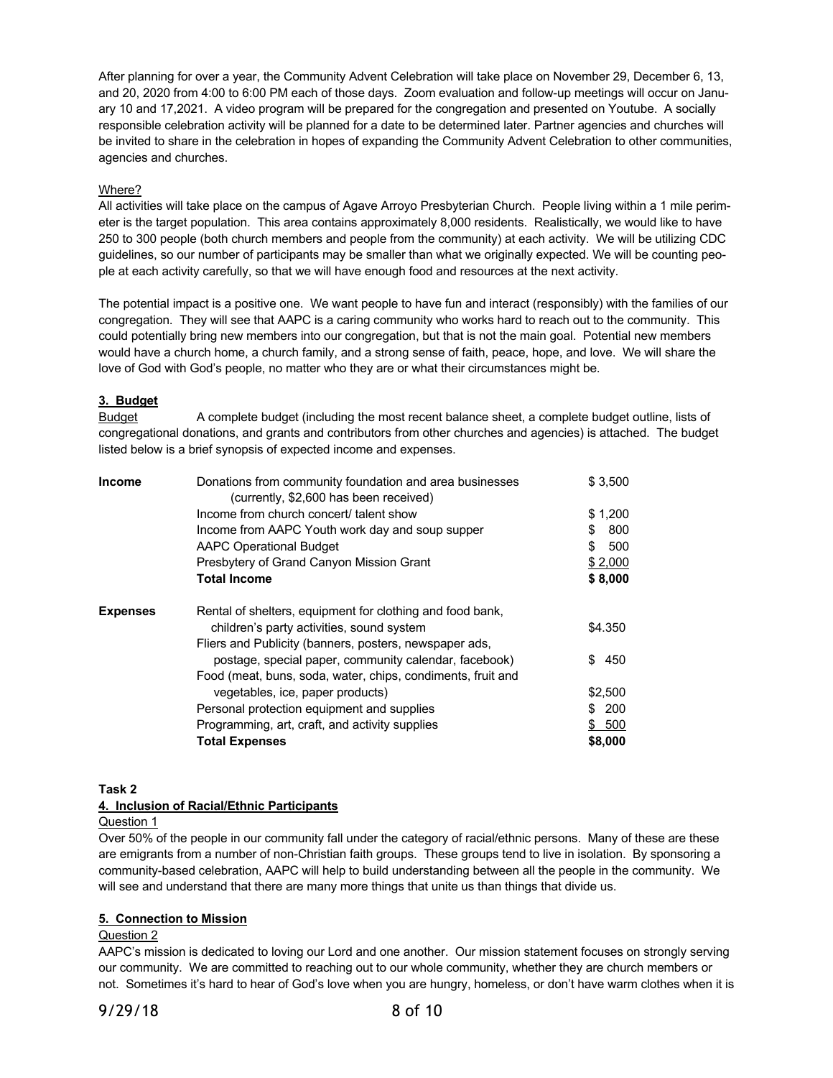After planning for over a year, the Community Advent Celebration will take place on November 29, December 6, 13, and 20, 2020 from 4:00 to 6:00 PM each of those days. Zoom evaluation and follow-up meetings will occur on January 10 and 17,2021. A video program will be prepared for the congregation and presented on Youtube. A socially responsible celebration activity will be planned for a date to be determined later. Partner agencies and churches will be invited to share in the celebration in hopes of expanding the Community Advent Celebration to other communities, agencies and churches.

## Where?

All activities will take place on the campus of Agave Arroyo Presbyterian Church. People living within a 1 mile perimeter is the target population. This area contains approximately 8,000 residents. Realistically, we would like to have 250 to 300 people (both church members and people from the community) at each activity. We will be utilizing CDC guidelines, so our number of participants may be smaller than what we originally expected. We will be counting people at each activity carefully, so that we will have enough food and resources at the next activity.

The potential impact is a positive one. We want people to have fun and interact (responsibly) with the families of our congregation. They will see that AAPC is a caring community who works hard to reach out to the community. This could potentially bring new members into our congregation, but that is not the main goal. Potential new members would have a church home, a church family, and a strong sense of faith, peace, hope, and love. We will share the love of God with God's people, no matter who they are or what their circumstances might be.

# **3. Budget**

Budget A complete budget (including the most recent balance sheet, a complete budget outline, lists of congregational donations, and grants and contributors from other churches and agencies) is attached. The budget listed below is a brief synopsis of expected income and expenses.

| <b>Income</b>   | Donations from community foundation and area businesses<br>(currently, \$2,600 has been received) | \$3,500   |
|-----------------|---------------------------------------------------------------------------------------------------|-----------|
|                 | Income from church concert/ talent show                                                           | \$1,200   |
|                 | Income from AAPC Youth work day and soup supper                                                   | 800<br>\$ |
|                 | <b>AAPC Operational Budget</b>                                                                    | S<br>500  |
|                 | Presbytery of Grand Canyon Mission Grant                                                          | \$2,000   |
|                 | <b>Total Income</b>                                                                               | \$8,000   |
| <b>Expenses</b> | Rental of shelters, equipment for clothing and food bank,                                         |           |
|                 | children's party activities, sound system                                                         | \$4.350   |
|                 | Fliers and Publicity (banners, posters, newspaper ads,                                            |           |
|                 | postage, special paper, community calendar, facebook)                                             | \$<br>450 |
|                 | Food (meat, buns, soda, water, chips, condiments, fruit and                                       |           |
|                 | vegetables, ice, paper products)                                                                  | \$2,500   |
|                 | Personal protection equipment and supplies                                                        | 200<br>S. |
|                 | Programming, art, craft, and activity supplies                                                    | 500<br>S. |
|                 | <b>Total Expenses</b>                                                                             | \$8,000   |

# **Task 2**

## **4. Inclusion of Racial/Ethnic Participants**

Question 1

Over 50% of the people in our community fall under the category of racial/ethnic persons. Many of these are these are emigrants from a number of non-Christian faith groups. These groups tend to live in isolation. By sponsoring a community-based celebration, AAPC will help to build understanding between all the people in the community. We will see and understand that there are many more things that unite us than things that divide us.

## **5. Connection to Mission**

## Question 2

AAPC's mission is dedicated to loving our Lord and one another. Our mission statement focuses on strongly serving our community. We are committed to reaching out to our whole community, whether they are church members or not. Sometimes it's hard to hear of God's love when you are hungry, homeless, or don't have warm clothes when it is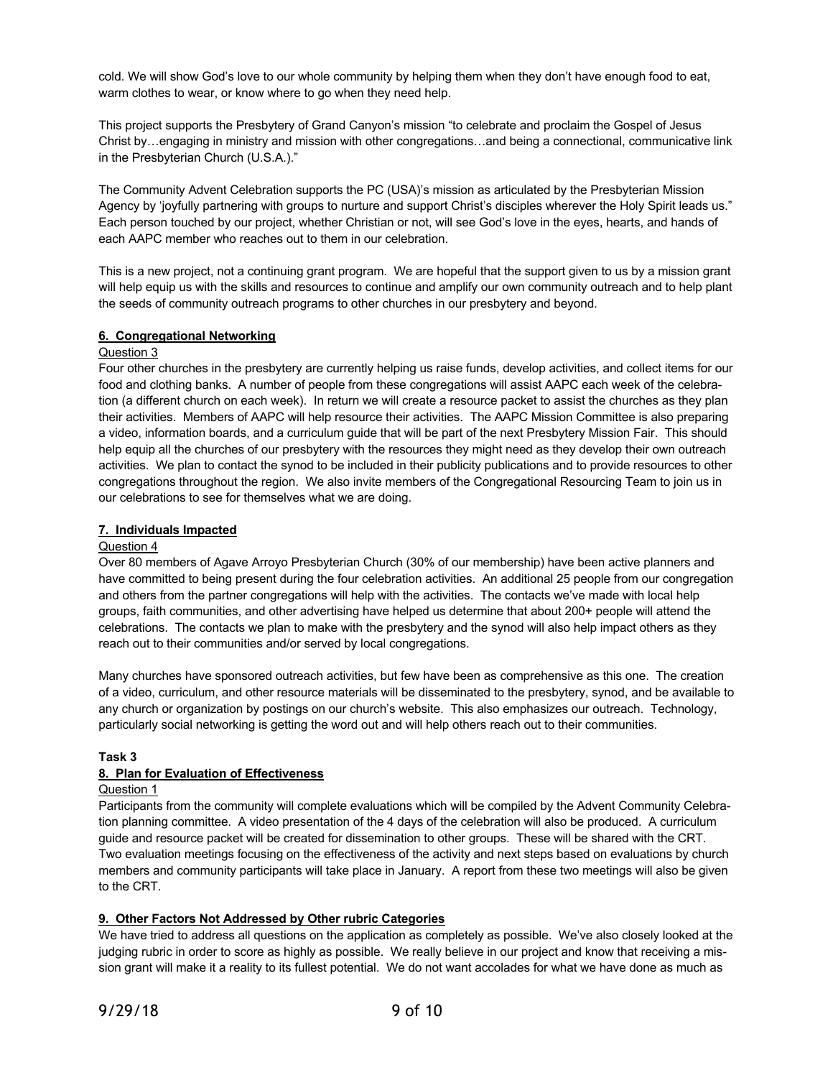cold. We will show God's love to our whole community by helping them when they don't have enough food to eat, warm clothes to wear, or know where to go when they need help.

This project supports the Presbytery of Grand Canyon's mission "to celebrate and proclaim the Gospel of Jesus Christ by…engaging in ministry and mission with other congregations…and being a connectional, communicative link in the Presbyterian Church (U.S.A.)."

The Community Advent Celebration supports the PC (USA)'s mission as articulated by the Presbyterian Mission Agency by 'joyfully partnering with groups to nurture and support Christ's disciples wherever the Holy Spirit leads us." Each person touched by our project, whether Christian or not, will see God's love in the eyes, hearts, and hands of each AAPC member who reaches out to them in our celebration.

This is a new project, not a continuing grant program. We are hopeful that the support given to us by a mission grant will help equip us with the skills and resources to continue and amplify our own community outreach and to help plant the seeds of community outreach programs to other churches in our presbytery and beyond.

# **6. Congregational Networking**

## Question 3

Four other churches in the presbytery are currently helping us raise funds, develop activities, and collect items for our food and clothing banks. A number of people from these congregations will assist AAPC each week of the celebration (a different church on each week). In return we will create a resource packet to assist the churches as they plan their activities. Members of AAPC will help resource their activities. The AAPC Mission Committee is also preparing a video, information boards, and a curriculum guide that will be part of the next Presbytery Mission Fair. This should help equip all the churches of our presbytery with the resources they might need as they develop their own outreach activities. We plan to contact the synod to be included in their publicity publications and to provide resources to other congregations throughout the region. We also invite members of the Congregational Resourcing Team to join us in our celebrations to see for themselves what we are doing.

## **7. Individuals Impacted**

## Question 4

Over 80 members of Agave Arroyo Presbyterian Church (30% of our membership) have been active planners and have committed to being present during the four celebration activities. An additional 25 people from our congregation and others from the partner congregations will help with the activities. The contacts we've made with local help groups, faith communities, and other advertising have helped us determine that about 200+ people will attend the celebrations. The contacts we plan to make with the presbytery and the synod will also help impact others as they reach out to their communities and/or served by local congregations.

Many churches have sponsored outreach activities, but few have been as comprehensive as this one. The creation of a video, curriculum, and other resource materials will be disseminated to the presbytery, synod, and be available to any church or organization by postings on our church's website. This also emphasizes our outreach. Technology, particularly social networking is getting the word out and will help others reach out to their communities.

## **Task 3**

## **8. Plan for Evaluation of Effectiveness**

## Question 1

Participants from the community will complete evaluations which will be compiled by the Advent Community Celebration planning committee. A video presentation of the 4 days of the celebration will also be produced. A curriculum guide and resource packet will be created for dissemination to other groups. These will be shared with the CRT. Two evaluation meetings focusing on the effectiveness of the activity and next steps based on evaluations by church members and community participants will take place in January. A report from these two meetings will also be given to the CRT.

# **9. Other Factors Not Addressed by Other rubric Categories**

We have tried to address all questions on the application as completely as possible. We've also closely looked at the judging rubric in order to score as highly as possible. We really believe in our project and know that receiving a mission grant will make it a reality to its fullest potential. We do not want accolades for what we have done as much as